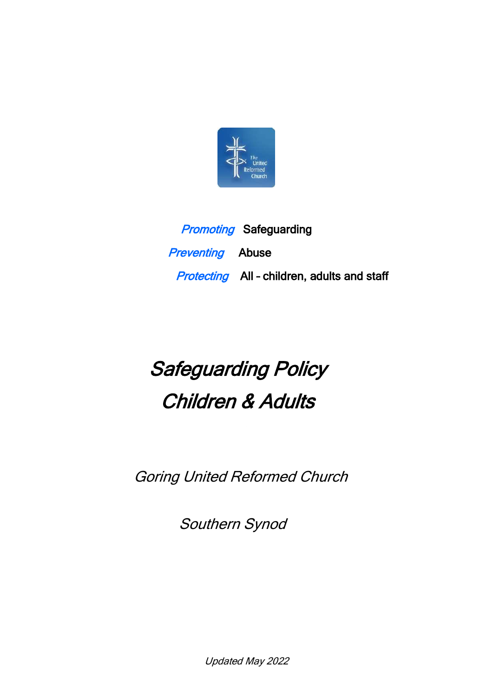

**Promoting Safeguarding Preventing** Abuse **Protecting** All - children, adults and staff

# Safeguarding Policy Children & Adults

Goring United Reformed Church

Southern Synod

Updated May 2022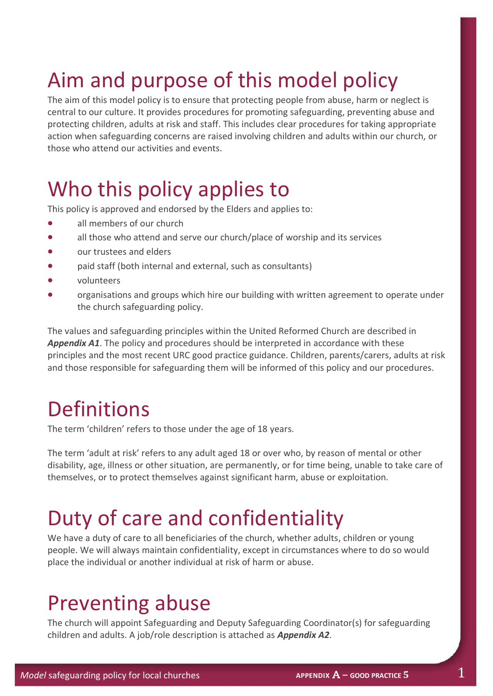## Aim and purpose of this model policy

The aim of this model policy is to ensure that protecting people from abuse, harm or neglect is central to our culture. It provides procedures for promoting safeguarding, preventing abuse and protecting children, adults at risk and staff. This includes clear procedures for taking appropriate action when safeguarding concerns are raised involving children and adults within our church, or those who attend our activities and events.

### Who this policy applies to

This policy is approved and endorsed by the Elders and applies to:

- all members of our church
- all those who attend and serve our church/place of worship and its services
- our trustees and elders
- paid staff (both internal and external, such as consultants)
- volunteers
- organisations and groups which hire our building with written agreement to operate under the church safeguarding policy.

The values and safeguarding principles within the United Reformed Church are described in *Appendix A1*. The policy and procedures should be interpreted in accordance with these principles and the most recent URC good practice guidance. Children, parents/carers, adults at risk and those responsible for safeguarding them will be informed of this policy and our procedures.

### **Definitions**

The term 'children' refers to those under the age of 18 years.

The term 'adult at risk' refers to any adult aged 18 or over who, by reason of mental or other disability, age, illness or other situation, are permanently, or for time being, unable to take care of themselves, or to protect themselves against significant harm, abuse or exploitation.

### Duty of care and confidentiality

We have a duty of care to all beneficiaries of the church, whether adults, children or young people. We will always maintain confidentiality, except in circumstances where to do so would place the individual or another individual at risk of harm or abuse.

#### Preventing abuse

The church will appoint Safeguarding and Deputy Safeguarding Coordinator(s) for safeguarding children and adults. A job/role description is attached as *Appendix A2*.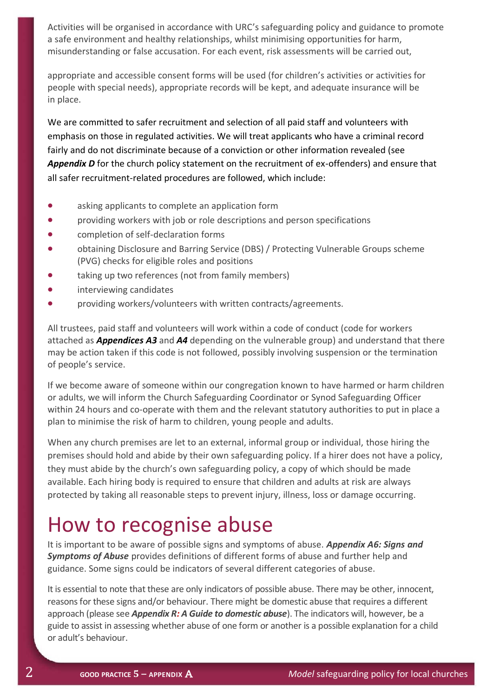Activities will be organised in accordance with URC's safeguarding policy and guidance to promote a safe environment and healthy relationships, whilst minimising opportunities for harm, misunderstanding or false accusation. For each event, risk assessments will be carried out,

appropriate and accessible consent forms will be used (for children's activities or activities for people with special needs), appropriate records will be kept, and adequate insurance will be in place.

We are committed to safer recruitment and selection of all paid staff and volunteers with emphasis on those in regulated activities. We will treat applicants who have a criminal record fairly and do not discriminate because of a conviction or other information revealed (see *Appendix D* for the church policy statement on the recruitment of ex-offenders) and ensure that all safer recruitment-related procedures are followed, which include:

- asking applicants to complete an application form
- providing workers with job or role descriptions and person specifications
- completion of self-declaration forms
- obtaining Disclosure and Barring Service (DBS) / Protecting Vulnerable Groups scheme (PVG) checks for eligible roles and positions
- taking up two references (not from family members)
- interviewing candidates
- providing workers/volunteers with written contracts/agreements.

All trustees, paid staff and volunteers will work within a code of conduct (code for workers attached as *Appendices A3* and *A4* depending on the vulnerable group) and understand that there may be action taken if this code is not followed, possibly involving suspension or the termination of people's service.

If we become aware of someone within our congregation known to have harmed or harm children or adults, we will inform the Church Safeguarding Coordinator or Synod Safeguarding Officer within 24 hours and co-operate with them and the relevant statutory authorities to put in place a plan to minimise the risk of harm to children, young people and adults.

When any church premises are let to an external, informal group or individual, those hiring the premises should hold and abide by their own safeguarding policy. If a hirer does not have a policy, they must abide by the church's own safeguarding policy, a copy of which should be made available. Each hiring body is required to ensure that children and adults at risk are always protected by taking all reasonable steps to prevent injury, illness, loss or damage occurring.

#### How to recognise abuse

It is important to be aware of possible signs and symptoms of abuse. *Appendix A6: Signs and Symptoms of Abuse* provides definitions of different forms of abuse and further help and guidance. Some signs could be indicators of several different categories of abuse.

It is essential to note that these are only indicators of possible abuse. There may be other, innocent, reasons for these signs and/or behaviour. There might be domestic abuse that requires a different approach (please see *Appendix R: A Guide to domestic abuse*). The indicators will, however, be a guide to assist in assessing whether abuse of one form or another is a possible explanation for a child or adult's behaviour.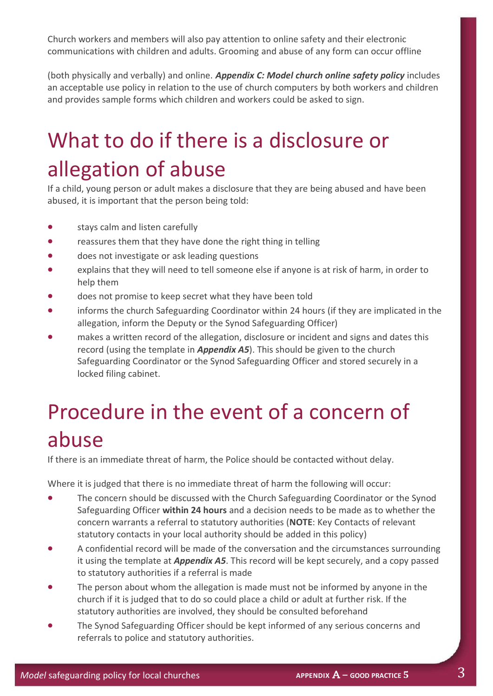Church workers and members will also pay attention to online safety and their electronic communications with children and adults. Grooming and abuse of any form can occur offline

(both physically and verbally) and online. *Appendix C: Model church online safety policy* includes an acceptable use policy in relation to the use of church computers by both workers and children and provides sample forms which children and workers could be asked to sign.

## What to do if there is a disclosure or allegation of abuse

If a child, young person or adult makes a disclosure that they are being abused and have been abused, it is important that the person being told:

- stays calm and listen carefully
- reassures them that they have done the right thing in telling
- does not investigate or ask leading questions
- explains that they will need to tell someone else if anyone is at risk of harm, in order to help them
- does not promise to keep secret what they have been told
- informs the church Safeguarding Coordinator within 24 hours (if they are implicated in the allegation, inform the Deputy or the Synod Safeguarding Officer)
- makes a written record of the allegation, disclosure or incident and signs and dates this record (using the template in *Appendix A5*). This should be given to the church Safeguarding Coordinator or the Synod Safeguarding Officer and stored securely in a locked filing cabinet.

## Procedure in the event of a concern of abuse

If there is an immediate threat of harm, the Police should be contacted without delay.

Where it is judged that there is no immediate threat of harm the following will occur:

- The concern should be discussed with the Church Safeguarding Coordinator or the Synod Safeguarding Officer **within 24 hours** and a decision needs to be made as to whether the concern warrants a referral to statutory authorities (**NOTE**: Key Contacts of relevant statutory contacts in your local authority should be added in this policy)
- A confidential record will be made of the conversation and the circumstances surrounding it using the template at *Appendix A5*. This record will be kept securely, and a copy passed to statutory authorities if a referral is made
- The person about whom the allegation is made must not be informed by anyone in the church if it is judged that to do so could place a child or adult at further risk. If the statutory authorities are involved, they should be consulted beforehand
- The Synod Safeguarding Officer should be kept informed of any serious concerns and referrals to police and statutory authorities.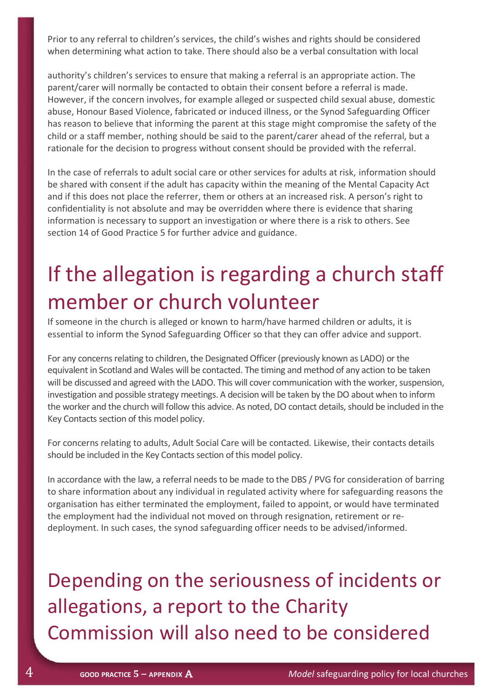Prior to any referral to children's services, the child's wishes and rights should be considered when determining what action to take. There should also be a verbal consultation with local

authority's children's services to ensure that making a referral is an appropriate action. The parent/carer will normally be contacted to obtain their consent before a referral is made. However, if the concern involves, for example alleged or suspected child sexual abuse, domestic abuse, Honour Based Violence, fabricated or induced illness, or the Synod Safeguarding Officer has reason to believe that informing the parent at this stage might compromise the safety of the child or a staff member, nothing should be said to the parent/carer ahead of the referral, but a rationale for the decision to progress without consent should be provided with the referral.

In the case of referrals to adult social care or other services for adults at risk, information should be shared with consent if the adult has capacity within the meaning of the Mental Capacity Act and if this does not place the referrer, them or others at an increased risk. A person's right to confidentiality is not absolute and may be overridden where there is evidence that sharing information is necessary to support an investigation or where there is a risk to others. See section 14 of Good Practice 5 for further advice and guidance.

### If the allegation is regarding a church staff member or church volunteer

If someone in the church is alleged or known to harm/have harmed children or adults, it is essential to inform the Synod Safeguarding Officer so that they can offer advice and support.

For any concerns relating to children, the Designated Officer (previously known as LADO) or the equivalent in Scotland and Wales will be contacted. The timing and method of any action to be taken will be discussed and agreed with the LADO. This will cover communication with the worker, suspension, investigation and possible strategy meetings. A decision will be taken by the DO about when to inform the worker and the church will follow this advice. As noted, DO contact details, should be included in the Key Contacts section of this model policy.

For concerns relating to adults, Adult Social Care will be contacted. Likewise, their contacts details should be included in the Key Contacts section of this model policy.

In accordance with the law, a referral needs to be made to the DBS / PVG for consideration of barring to share information about any individual in regulated activity where for safeguarding reasons the organisation has either terminated the employment, failed to appoint, or would have terminated the employment had the individual not moved on through resignation, retirement or redeployment. In such cases, the synod safeguarding officer needs to be advised/informed.

Depending on the seriousness of incidents or allegations, a report to the Charity Commission will also need to be considered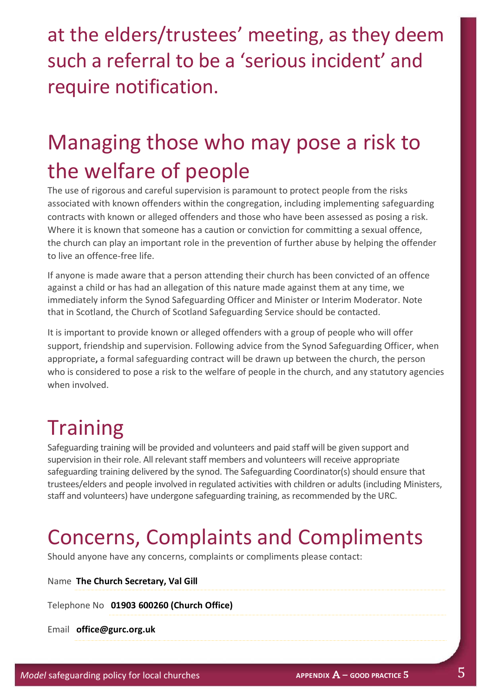at the elders/trustees' meeting, as they deem such a referral to be a 'serious incident' and require notification.

### Managing those who may pose a risk to the welfare of people

The use of rigorous and careful supervision is paramount to protect people from the risks associated with known offenders within the congregation, including implementing safeguarding contracts with known or alleged offenders and those who have been assessed as posing a risk. Where it is known that someone has a caution or conviction for committing a sexual offence, the church can play an important role in the prevention of further abuse by helping the offender to live an offence-free life.

If anyone is made aware that a person attending their church has been convicted of an offence against a child or has had an allegation of this nature made against them at any time, we immediately inform the Synod Safeguarding Officer and Minister or Interim Moderator. Note that in Scotland, the Church of Scotland Safeguarding Service should be contacted.

It is important to provide known or alleged offenders with a group of people who will offer support, friendship and supervision. Following advice from the Synod Safeguarding Officer, when appropriate**,** a formal safeguarding contract will be drawn up between the church, the person who is considered to pose a risk to the welfare of people in the church, and any statutory agencies when involved.

#### **Training**

Safeguarding training will be provided and volunteers and paid staff will be given support and supervision in their role. All relevant staff members and volunteers will receive appropriate safeguarding training delivered by the synod. The Safeguarding Coordinator(s) should ensure that trustees/elders and people involved in regulated activities with children or adults (including Ministers, staff and volunteers) have undergone safeguarding training, as recommended by the URC.

### Concerns, Complaints and Compliments

Should anyone have any concerns, complaints or compliments please contact:

Name **The Church Secretary, Val Gill**

Telephone No **01903 600260 (Church Office)**

Email **office@gurc.org.uk**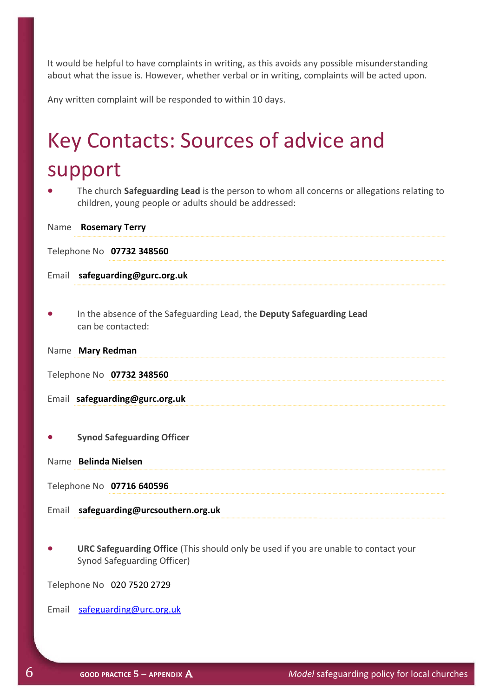It would be helpful to have complaints in writing, as this avoids any possible misunderstanding about what the issue is. However, whether verbal or in writing, complaints will be acted upon.

Any written complaint will be responded to within 10 days.

## Key Contacts: Sources of advice and support

• The church **Safeguarding Lead** is the person to whom all concerns or allegations relating to children, young people or adults should be addressed:

|           | Name Rosemary Terry                                                                        |
|-----------|--------------------------------------------------------------------------------------------|
|           | Telephone No 07732 348560                                                                  |
|           | Email safeguarding@gurc.org.uk                                                             |
|           |                                                                                            |
| $\bullet$ | In the absence of the Safeguarding Lead, the Deputy Safeguarding Lead<br>can be contacted: |
|           | Name Mary Redman                                                                           |
|           | Telephone No 07732 348560                                                                  |
|           | Email safeguarding@gurc.org.uk                                                             |
|           |                                                                                            |
|           | <b>Synod Safeguarding Officer</b>                                                          |
|           | Name Belinda Nielsen                                                                       |
|           | Telephone No 07716 640596                                                                  |
|           | Email safeguarding@urcsouthern.org.uk                                                      |
|           |                                                                                            |

• **URC Safeguarding Office** (This should only be used if you are unable to contact your Synod Safeguarding Officer)

Telephone No 020 7520 2729

Email [safeguarding@urc.org.uk](mailto:safegaurding@urc.org.uk)